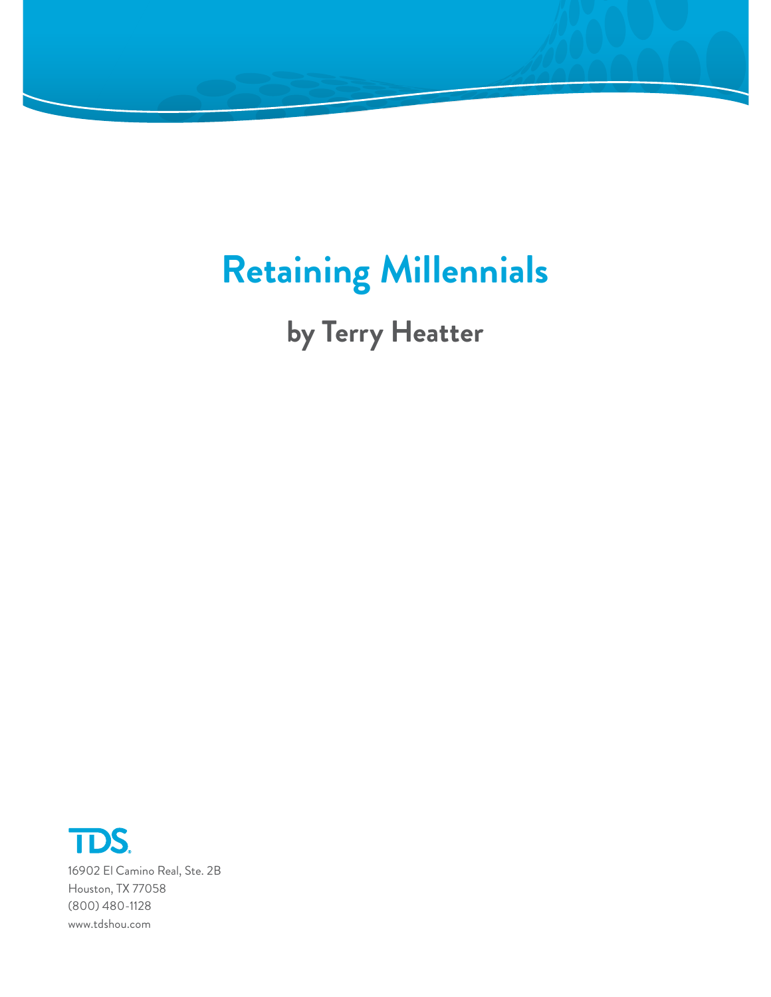

# **Retaining Millennials**

**by Terry Heatter**



16902 El Camino Real, Ste. 2B Houston, TX 77058 (800) 480-1128 www.tdshou.com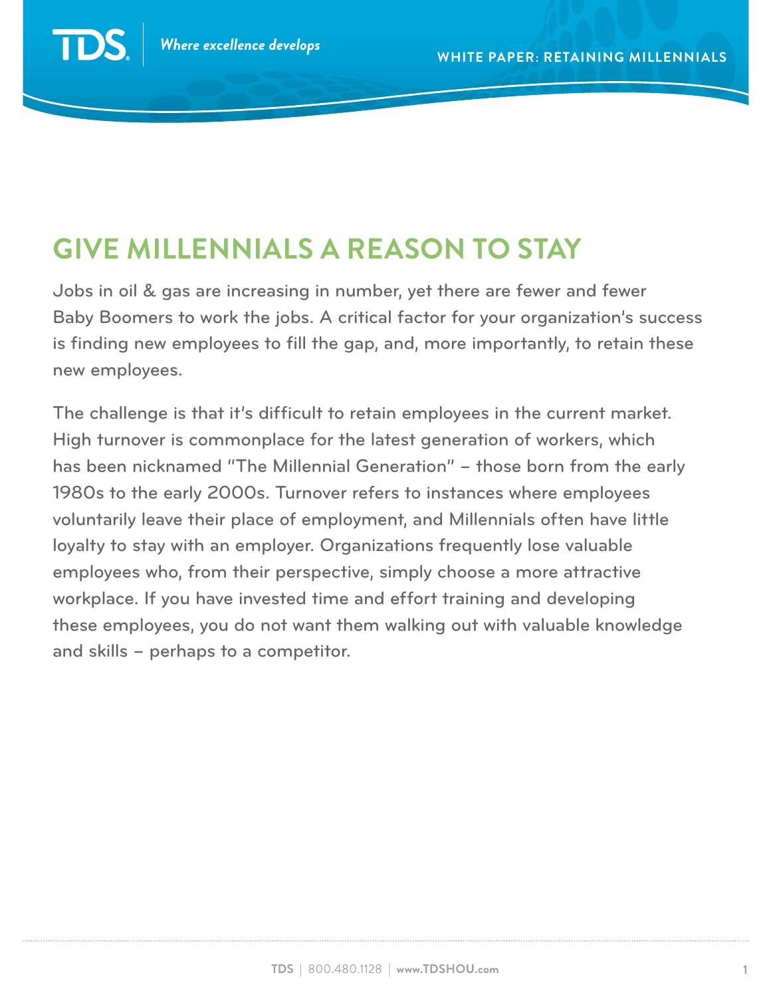TD

## **Give Millennials a Reason to Stay**

Jobs in oil & gas are increasing in number, yet there are fewer and fewer Baby Boomers to work the jobs. A critical factor for your organization's success is finding new employees to fill the gap, and, more importantly, to retain these new employees.

The challenge is that it's difficult to retain employees in the current market. High turnover is commonplace for the latest generation of workers, which has been nicknamed "The Millennial Generation" – those born from the early 1980s to the early 2000s. Turnover refers to instances where employees voluntarily leave their place of employment, and Millennials often have little loyalty to stay with an employer. Organizations frequently lose valuable employees who, from their perspective, simply choose a more attractive workplace. If you have invested time and effort training and developing these employees, you do not want them walking out with valuable knowledge and skills – perhaps to a competitor.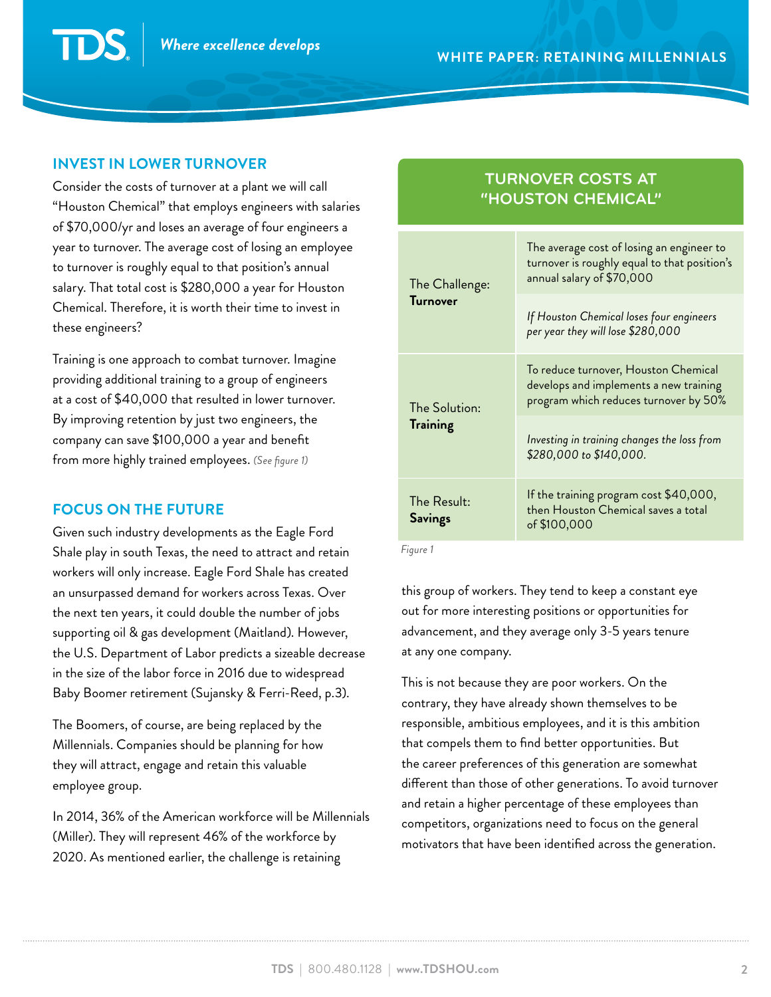#### **Invest in lower turnover**

Consider the costs of turnover at a plant we will call "Houston Chemical" that employs engineers with salaries of \$70,000/yr and loses an average of four engineers a year to turnover. The average cost of losing an employee to turnover is roughly equal to that position's annual salary. That total cost is \$280,000 a year for Houston Chemical. Therefore, it is worth their time to invest in these engineers?

Training is one approach to combat turnover. Imagine providing additional training to a group of engineers at a cost of \$40,000 that resulted in lower turnover. By improving retention by just two engineers, the company can save \$100,000 a year and benefit from more highly trained employees. *(See figure 1)*

#### **Focus on the future**

Given such industry developments as the Eagle Ford Shale play in south Texas, the need to attract and retain workers will only increase. Eagle Ford Shale has created an unsurpassed demand for workers across Texas. Over the next ten years, it could double the number of jobs supporting oil & gas development (Maitland). However, the U.S. Department of Labor predicts a sizeable decrease in the size of the labor force in 2016 due to widespread Baby Boomer retirement (Sujansky & Ferri-Reed, p.3).

The Boomers, of course, are being replaced by the Millennials. Companies should be planning for how they will attract, engage and retain this valuable employee group.

In 2014, 36% of the American workforce will be Millennials (Miller). They will represent 46% of the workforce by 2020. As mentioned earlier, the challenge is retaining

### **Turnover Costs at "Houston Chemical"**

| The Challenge:<br><b>Turnover</b> | The average cost of losing an engineer to<br>turnover is roughly equal to that position's<br>annual salary of \$70,000  |
|-----------------------------------|-------------------------------------------------------------------------------------------------------------------------|
|                                   | If Houston Chemical loses four engineers<br>per year they will lose \$280,000                                           |
| The Solution:<br><b>Training</b>  | To reduce turnover, Houston Chemical<br>develops and implements a new training<br>program which reduces turnover by 50% |
|                                   | Investing in training changes the loss from<br>\$280,000 to \$140,000.                                                  |
| The Result:<br><b>Savings</b>     | If the training program cost \$40,000,<br>then Houston Chemical saves a total<br>of \$100,000                           |

 *Figure 1*

this group of workers. They tend to keep a constant eye out for more interesting positions or opportunities for advancement, and they average only 3-5 years tenure at any one company.

This is not because they are poor workers. On the contrary, they have already shown themselves to be responsible, ambitious employees, and it is this ambition that compels them to find better opportunities. But the career preferences of this generation are somewhat different than those of other generations. To avoid turnover and retain a higher percentage of these employees than competitors, organizations need to focus on the general motivators that have been identified across the generation.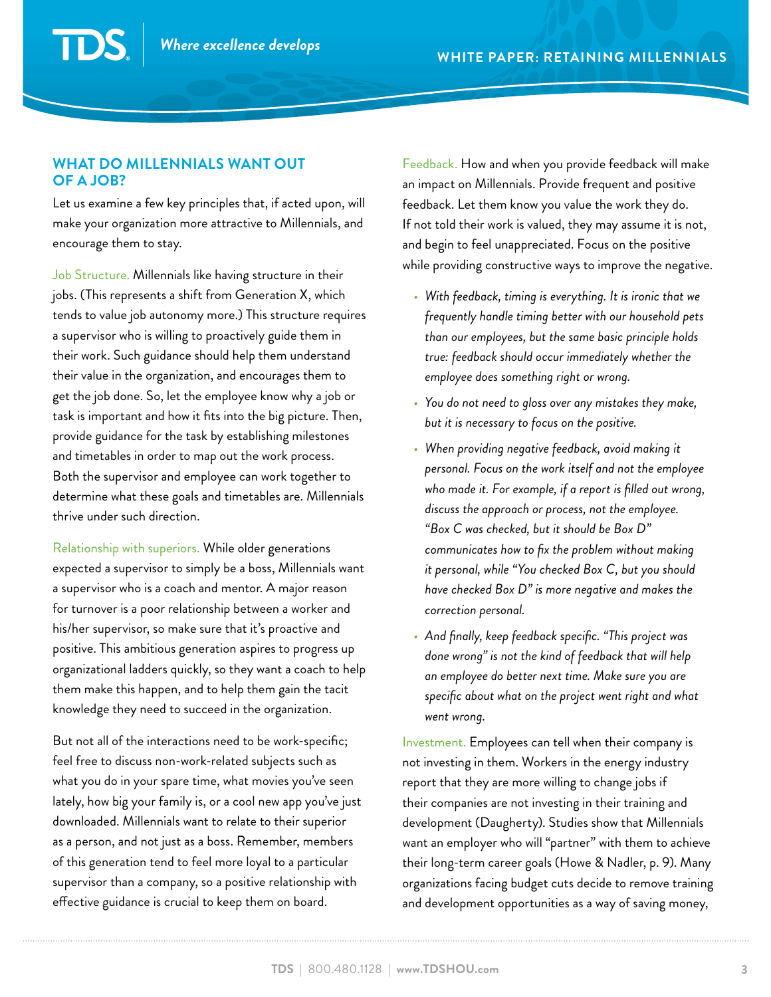#### **What do Millennials want out of a job?**

 $\mathbf{D}$ 

Let us examine a few key principles that, if acted upon, will make your organization more attractive to Millennials, and encourage them to stay.

Job Structure. Millennials like having structure in their jobs. (This represents a shift from Generation X, which tends to value job autonomy more.) This structure requires a supervisor who is willing to proactively guide them in their work. Such guidance should help them understand their value in the organization, and encourages them to get the job done. So, let the employee know why a job or task is important and how it fits into the big picture. Then, provide guidance for the task by establishing milestones and timetables in order to map out the work process. Both the supervisor and employee can work together to determine what these goals and timetables are. Millennials thrive under such direction.

Relationship with superiors. While older generations expected a supervisor to simply be a boss, Millennials want a supervisor who is a coach and mentor. A major reason for turnover is a poor relationship between a worker and his/her supervisor, so make sure that it's proactive and positive. This ambitious generation aspires to progress up organizational ladders quickly, so they want a coach to help them make this happen, and to help them gain the tacit knowledge they need to succeed in the organization.

But not all of the interactions need to be work-specific; feel free to discuss non-work-related subjects such as what you do in your spare time, what movies you've seen lately, how big your family is, or a cool new app you've just downloaded. Millennials want to relate to their superior as a person, and not just as a boss. Remember, members of this generation tend to feel more loyal to a particular supervisor than a company, so a positive relationship with effective guidance is crucial to keep them on board.

Feedback. How and when you provide feedback will make an impact on Millennials. Provide frequent and positive feedback. Let them know you value the work they do. If not told their work is valued, they may assume it is not, and begin to feel unappreciated. Focus on the positive while providing constructive ways to improve the negative.

- *• With feedback, timing is everything. It is ironic that we frequently handle timing better with our household pets than our employees, but the same basic principle holds true: feedback should occur immediately whether the employee does something right or wrong.*
- *• You do not need to gloss over any mistakes they make, but it is necessary to focus on the positive.*
- *• When providing negative feedback, avoid making it personal. Focus on the work itself and not the employee who made it. For example, if a report is filled out wrong, discuss the approach or process, not the employee. "Box C was checked, but it should be Box D" communicates how to fix the problem without making it personal, while "You checked Box C, but you should have checked Box D" is more negative and makes the correction personal.*
- *• And finally, keep feedback specific. "This project was done wrong" is not the kind of feedback that will help an employee do better next time. Make sure you are specific about what on the project went right and what went wrong.*

Investment. Employees can tell when their company is not investing in them. Workers in the energy industry report that they are more willing to change jobs if their companies are not investing in their training and development (Daugherty). Studies show that Millennials want an employer who will "partner" with them to achieve their long-term career goals (Howe & Nadler, p. 9). Many organizations facing budget cuts decide to remove training and development opportunities as a way of saving money,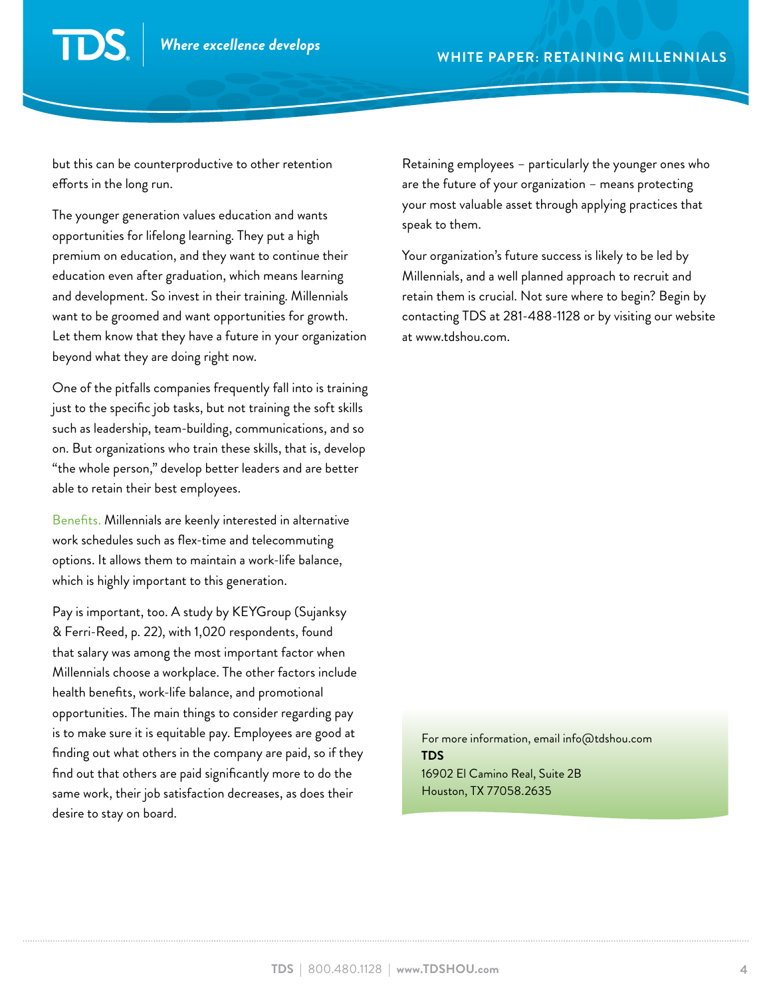but this can be counterproductive to other retention efforts in the long run.

The younger generation values education and wants opportunities for lifelong learning. They put a high premium on education, and they want to continue their education even after graduation, which means learning and development. So invest in their training. Millennials want to be groomed and want opportunities for growth. Let them know that they have a future in your organization beyond what they are doing right now.

One of the pitfalls companies frequently fall into is training just to the specific job tasks, but not training the soft skills such as leadership, team-building, communications, and so on. But organizations who train these skills, that is, develop "the whole person," develop better leaders and are better able to retain their best employees.

Benefits. Millennials are keenly interested in alternative work schedules such as flex-time and telecommuting options. It allows them to maintain a work-life balance, which is highly important to this generation.

Pay is important, too. A study by KEYGroup (Sujanksy & Ferri-Reed, p. 22), with 1,020 respondents, found that salary was among the most important factor when Millennials choose a workplace. The other factors include health benefits, work-life balance, and promotional opportunities. The main things to consider regarding pay is to make sure it is equitable pay. Employees are good at finding out what others in the company are paid, so if they find out that others are paid significantly more to do the same work, their job satisfaction decreases, as does their desire to stay on board.

Retaining employees – particularly the younger ones who are the future of your organization – means protecting your most valuable asset through applying practices that speak to them.

Your organization's future success is likely to be led by Millennials, and a well planned approach to recruit and retain them is crucial. Not sure where to begin? Begin by contacting TDS at 281-488-1128 or by visiting our website at www.tdshou.com.

For more information, email info@tdshou.com **TDS** 16902 El Camino Real, Suite 2B Houston, TX 77058.2635